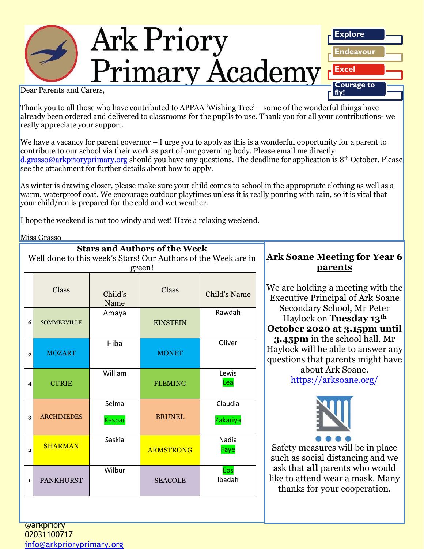#### Ark Priory **Explore Endeavour Dear Parents and Carers, Excel Courage to fly!**

Thank you to all those who have contributed to APPAA 'Wishing Tree' – some of the wonderful things have already been ordered and delivered to classrooms for the pupils to use. Thank you for all your contributions- we really appreciate your support.

We have a vacancy for parent governor – I urge you to apply as this is a wonderful opportunity for a parent to contribute to our school via their work as part of our governing body. Please email me directly [d.grasso@arkprioryprimary.org](mailto:d.grasso@arkprioryprimary.org) should you have any questions. The deadline for application is 8<sup>th</sup> October. Please see the attachment for further details about how to apply.

As winter is drawing closer, please make sure your child comes to school in the appropriate clothing as well as a warm, waterproof coat. We encourage outdoor playtimes unless it is really pouring with rain, so it is vital that your child/ren is prepared for the cold and wet weather.

*Ark Priory Primary Academy is committed to safeguarding and equality* 

I hope the weekend is not too windy and wet! Have a relaxing weekend.

Miss Grasso

| <b>Stars and Authors of the Week</b>                           |                    |                        |                  |                     |
|----------------------------------------------------------------|--------------------|------------------------|------------------|---------------------|
| Well done to this week's Stars! Our Authors of the Week are in |                    |                        |                  |                     |
| green!                                                         |                    |                        |                  |                     |
|                                                                | Class              | Child's<br>Name        | Class            | Child's Name        |
| 6                                                              | <b>SOMMERVILLE</b> | Amaya                  | <b>EINSTEIN</b>  | Rawdah              |
| 5                                                              | <b>MOZART</b>      | Hiba                   | <b>MONET</b>     | Oliver              |
| 4                                                              | <b>CURIE</b>       | William                | <b>FLEMING</b>   | Lewis<br>Lea        |
| 3                                                              | <b>ARCHIMEDES</b>  | Selma<br><b>Kaspar</b> | <b>BRUNEL</b>    | Claudia<br>Zakariya |
| $\mathbf{2}$                                                   | <b>SHARMAN</b>     | Saskia                 | <b>ARMSTRONG</b> | Nadia<br>Faye       |
| $\mathbf{1}$                                                   | <b>PANKHURST</b>   | Wilbur                 | <b>SEACOLE</b>   | Eos<br>Ibadah       |

#### **Ark Soane Meeting for Year 6 parents**

We are holding a meeting with the Executive Principal of Ark Soane Secondary School, Mr Peter Haylock on **Tuesday 13th October 2020 at 3.15pm until 3.45pm** in the school hall. Mr Haylock will be able to answer any questions that parents might have about Ark Soane. <https://arksoane.org/>



Safety measures will be in place such as social distancing and we ask that **all** parents who would like to attend wear a mask. Many thanks for your cooperation.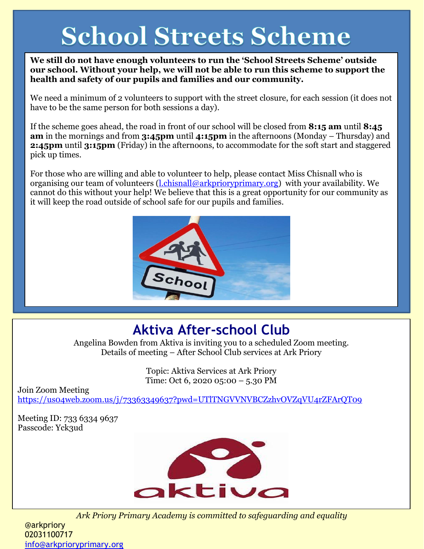# **School Streets Scheme**

**We still do not have enough volunteers to run the 'School Streets Scheme' outside our school. Without your help, we will not be able to run this scheme to support the health and safety of our pupils and families and our community.**

We need a minimum of 2 volunteers to support with the street closure, for each session (it does not have to be the same person for both sessions a day).

If the scheme goes ahead, the road in front of our school will be closed from **8:15 am** until **8:45 am** in the mornings and from **3:45pm** until **4:15pm** in the afternoons (Monday – Thursday) and **2:45pm** until **3:15pm** (Friday) in the afternoons, to accommodate for the soft start and staggered pick up times.

For those who are willing and able to volunteer to help, please contact Miss Chisnall who is organising our team of volunteers  $(l.ehisnal@arkprioryprimary.org)$  with your availability. We cannot do this without your help! We believe that this is a great opportunity for our community as it will keep the road outside of school safe for our pupils and families.



## **Aktiva After-school Club**

Angelina Bowden from Aktiva is inviting you to a scheduled Zoom meeting. Details of meeting – After School Club services at Ark Priory

> Topic: Aktiva Services at Ark Priory Time: Oct 6, 2020 05:00 – 5.30 PM

Join Zoom Meeting

<https://us04web.zoom.us/j/73363349637?pwd=UTlTNGVVNVBCZzhvOVZqVU4rZFArQT09>

Meeting ID: 733 6334 9637 Passcode: Yck3ud



*Ark Priory Primary Academy is committed to safeguarding and equality* 

@arkpriory 02031100717 [info@arkprioryprimary.org](mailto:info@arkprioryprimary.org)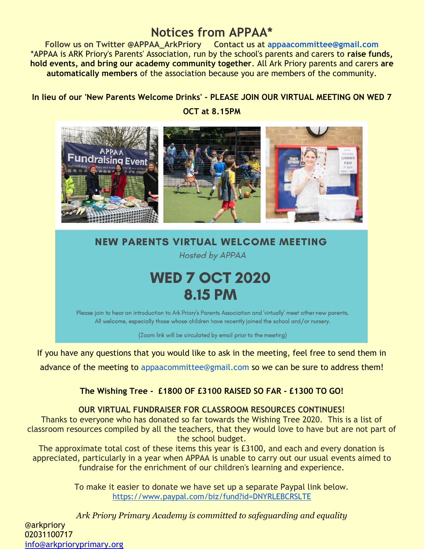### **Notices from APPAA\***

**Follow us on Twitter @APPAA\_ArkPriory Contact us at appaacommittee@gmail.com** \*APPAA is ARK Priory's Parents' Association, run by the school's parents and carers to **raise funds, hold events, and bring our academy community together**. All Ark Priory parents and carers **are automatically members** of the association because you are members of the community.

#### **In lieu of our 'New Parents Welcome Drinks' - PLEASE JOIN OUR VIRTUAL MEETING ON WED 7**

**OCT at 8.15PM** 



## **NEW PARENTS VIRTUAL WELCOME MEETING**

**Hosted by APPAA** 

# **WED 7 OCT 2020 8.15 PM**

Please join to hear an introduction to Ark Priory's Parents Association and 'virtually' meet other new parents. All welcome, especially those whose children have recently joined the school and/or nursery.

(Zoom link will be circulated by email prior to the meeting)

If you have any questions that you would like to ask in the meeting, feel free to send them in

advance of the meeting to appaacommittee@gmail.com so we can be sure to address them!

#### **The Wishing Tree - £1800 OF £3100 RAISED SO FAR - £1300 TO GO!**

**OUR VIRTUAL FUNDRAISER FOR CLASSROOM RESOURCES CONTINUES!**

Thanks to everyone who has donated so far towards the Wishing Tree 2020. This is a list of classroom resources compiled by all the teachers, that they would love to have but are not part of the school budget.

The approximate total cost of these items this year is £3100, and each and every donation is appreciated, particularly in a year when APPAA is unable to carry out our usual events aimed to fundraise for the enrichment of our children's learning and experience.

> To make it easier to donate we have set up a separate Paypal link below. <https://www.paypal.com/biz/fund?id=DNYRLEBCRSLTE>

*Ark Priory Primary Academy is committed to safeguarding and equality*  @arkpriory 02031100717 [info@arkprioryprimary.org](mailto:info@arkprioryprimary.org)